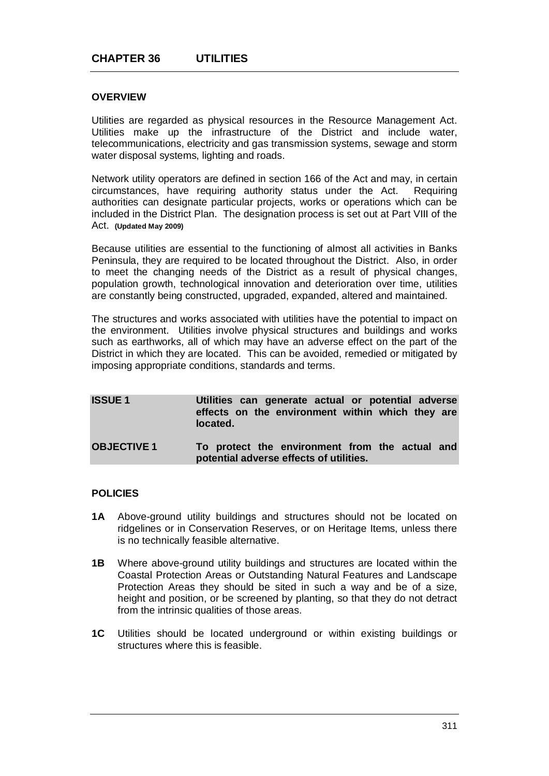# **OVERVIEW**

Utilities are regarded as physical resources in the Resource Management Act. Utilities make up the infrastructure of the District and include water, telecommunications, electricity and gas transmission systems, sewage and storm water disposal systems, lighting and roads.

Network utility operators are defined in section 166 of the Act and may, in certain circumstances, have requiring authority status under the Act. Requiring authorities can designate particular projects, works or operations which can be included in the District Plan. The designation process is set out at Part VIII of the Act. **(Updated May 2009)**

Because utilities are essential to the functioning of almost all activities in Banks Peninsula, they are required to be located throughout the District. Also, in order to meet the changing needs of the District as a result of physical changes, population growth, technological innovation and deterioration over time, utilities are constantly being constructed, upgraded, expanded, altered and maintained.

The structures and works associated with utilities have the potential to impact on the environment. Utilities involve physical structures and buildings and works such as earthworks, all of which may have an adverse effect on the part of the District in which they are located. This can be avoided, remedied or mitigated by imposing appropriate conditions, standards and terms.

| <b>ISSUE1</b>      | Utilities can generate actual or potential adverse<br>effects on the environment within which they are<br>located. |
|--------------------|--------------------------------------------------------------------------------------------------------------------|
| <b>OBJECTIVE 1</b> | To protect the environment from the actual and<br>potential adverse effects of utilities.                          |

### **POLICIES**

- **1A** Above-ground utility buildings and structures should not be located on ridgelines or in Conservation Reserves, or on Heritage Items, unless there is no technically feasible alternative.
- **1B** Where above-ground utility buildings and structures are located within the Coastal Protection Areas or Outstanding Natural Features and Landscape Protection Areas they should be sited in such a way and be of a size, height and position, or be screened by planting, so that they do not detract from the intrinsic qualities of those areas.
- **1C** Utilities should be located underground or within existing buildings or structures where this is feasible.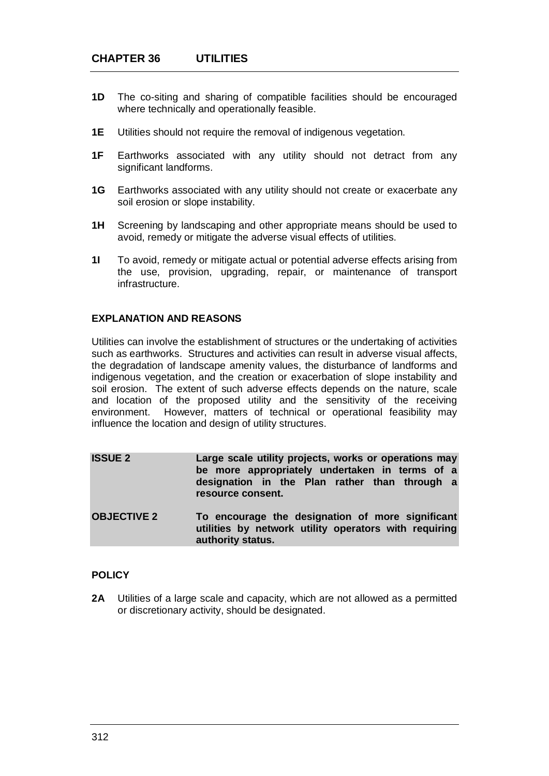- **1D** The co-siting and sharing of compatible facilities should be encouraged where technically and operationally feasible.
- **1E** Utilities should not require the removal of indigenous vegetation.
- **1F** Earthworks associated with any utility should not detract from any significant landforms.
- **1G** Earthworks associated with any utility should not create or exacerbate any soil erosion or slope instability.
- **1H** Screening by landscaping and other appropriate means should be used to avoid, remedy or mitigate the adverse visual effects of utilities.
- **1I** To avoid, remedy or mitigate actual or potential adverse effects arising from the use, provision, upgrading, repair, or maintenance of transport infrastructure.

# **EXPLANATION AND REASONS**

Utilities can involve the establishment of structures or the undertaking of activities such as earthworks. Structures and activities can result in adverse visual affects, the degradation of landscape amenity values, the disturbance of landforms and indigenous vegetation, and the creation or exacerbation of slope instability and soil erosion. The extent of such adverse effects depends on the nature, scale and location of the proposed utility and the sensitivity of the receiving environment. However, matters of technical or operational feasibility may influence the location and design of utility structures.

| <b>ISSUE 2</b>     | Large scale utility projects, works or operations may<br>be more appropriately undertaken in terms of a<br>designation in the Plan rather than through a<br>resource consent. |
|--------------------|-------------------------------------------------------------------------------------------------------------------------------------------------------------------------------|
| <b>OBJECTIVE 2</b> | To encourage the designation of more significant<br>utilities by network utility operators with requiring<br>authority status.                                                |

## **POLICY**

**2A** Utilities of a large scale and capacity, which are not allowed as a permitted or discretionary activity, should be designated.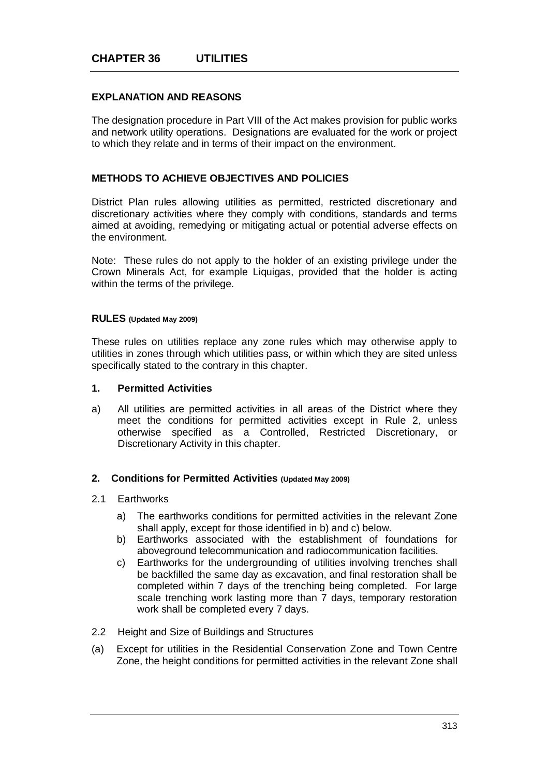# **EXPLANATION AND REASONS**

The designation procedure in Part VIII of the Act makes provision for public works and network utility operations. Designations are evaluated for the work or project to which they relate and in terms of their impact on the environment.

## **METHODS TO ACHIEVE OBJECTIVES AND POLICIES**

District Plan rules allowing utilities as permitted, restricted discretionary and discretionary activities where they comply with conditions, standards and terms aimed at avoiding, remedying or mitigating actual or potential adverse effects on the environment.

Note: These rules do not apply to the holder of an existing privilege under the Crown Minerals Act, for example Liquigas, provided that the holder is acting within the terms of the privilege.

### **RULES (Updated May 2009)**

These rules on utilities replace any zone rules which may otherwise apply to utilities in zones through which utilities pass, or within which they are sited unless specifically stated to the contrary in this chapter.

### **1. Permitted Activities**

a) All utilities are permitted activities in all areas of the District where they meet the conditions for permitted activities except in Rule 2, unless otherwise specified as a Controlled, Restricted Discretionary, or Discretionary Activity in this chapter.

#### **2. Conditions for Permitted Activities (Updated May 2009)**

#### 2.1 Earthworks

- a) The earthworks conditions for permitted activities in the relevant Zone shall apply, except for those identified in b) and c) below.
- b) Earthworks associated with the establishment of foundations for aboveground telecommunication and radiocommunication facilities.
- c) Earthworks for the undergrounding of utilities involving trenches shall be backfilled the same day as excavation, and final restoration shall be completed within 7 days of the trenching being completed. For large scale trenching work lasting more than 7 days, temporary restoration work shall be completed every 7 days.
- 2.2 Height and Size of Buildings and Structures
- (a) Except for utilities in the Residential Conservation Zone and Town Centre Zone, the height conditions for permitted activities in the relevant Zone shall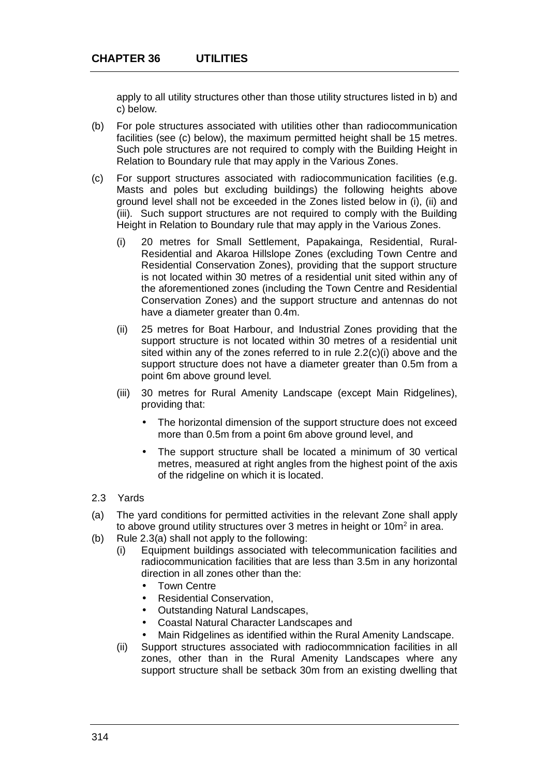apply to all utility structures other than those utility structures listed in b) and c) below.

- (b) For pole structures associated with utilities other than radiocommunication facilities (see (c) below), the maximum permitted height shall be 15 metres. Such pole structures are not required to comply with the Building Height in Relation to Boundary rule that may apply in the Various Zones.
- (c) For support structures associated with radiocommunication facilities (e.g. Masts and poles but excluding buildings) the following heights above ground level shall not be exceeded in the Zones listed below in (i), (ii) and (iii). Such support structures are not required to comply with the Building Height in Relation to Boundary rule that may apply in the Various Zones.
	- (i) 20 metres for Small Settlement, Papakainga, Residential, Rural-Residential and Akaroa Hillslope Zones (excluding Town Centre and Residential Conservation Zones), providing that the support structure is not located within 30 metres of a residential unit sited within any of the aforementioned zones (including the Town Centre and Residential Conservation Zones) and the support structure and antennas do not have a diameter greater than 0.4m.
	- (ii) 25 metres for Boat Harbour, and Industrial Zones providing that the support structure is not located within 30 metres of a residential unit sited within any of the zones referred to in rule 2.2(c)(i) above and the support structure does not have a diameter greater than 0.5m from a point 6m above ground level.
	- (iii) 30 metres for Rural Amenity Landscape (except Main Ridgelines), providing that:
		- The horizontal dimension of the support structure does not exceed more than 0.5m from a point 6m above ground level, and
		- The support structure shall be located a minimum of 30 vertical  $\overline{a}$ metres, measured at right angles from the highest point of the axis of the ridgeline on which it is located.
- 2.3 Yards
- (a) The yard conditions for permitted activities in the relevant Zone shall apply to above ground utility structures over 3 metres in height or  $10m^2$  in area.
- (b) Rule 2.3(a) shall not apply to the following:
	- (i) Equipment buildings associated with telecommunication facilities and radiocommunication facilities that are less than 3.5m in any horizontal direction in all zones other than the:
		- Town Centre
		- Residential Conservation,
		- Outstanding Natural Landscapes,
		- Coastal Natural Character Landscapes and  $\ddot{\phantom{a}}$
		- Main Ridgelines as identified within the Rural Amenity Landscape.
	- (ii) Support structures associated with radiocommnication facilities in all zones, other than in the Rural Amenity Landscapes where any support structure shall be setback 30m from an existing dwelling that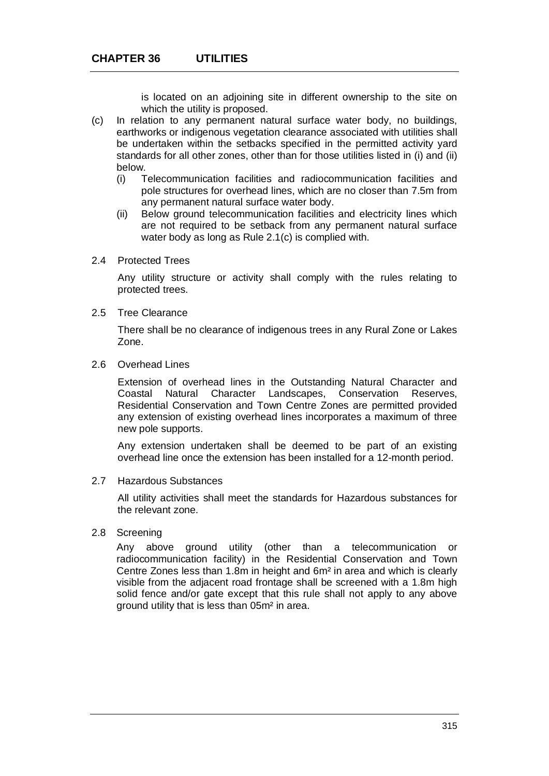is located on an adjoining site in different ownership to the site on which the utility is proposed.

- (c) In relation to any permanent natural surface water body, no buildings, earthworks or indigenous vegetation clearance associated with utilities shall be undertaken within the setbacks specified in the permitted activity yard standards for all other zones, other than for those utilities listed in (i) and (ii) below.
	- (i) Telecommunication facilities and radiocommunication facilities and pole structures for overhead lines, which are no closer than 7.5m from any permanent natural surface water body.
	- (ii) Below ground telecommunication facilities and electricity lines which are not required to be setback from any permanent natural surface water body as long as Rule 2.1(c) is complied with.
- 2.4 Protected Trees

Any utility structure or activity shall comply with the rules relating to protected trees.

2.5 Tree Clearance

There shall be no clearance of indigenous trees in any Rural Zone or Lakes Zone.

2.6 Overhead Lines

Extension of overhead lines in the Outstanding Natural Character and Coastal Natural Character Landscapes, Conservation Reserves, Residential Conservation and Town Centre Zones are permitted provided any extension of existing overhead lines incorporates a maximum of three new pole supports.

Any extension undertaken shall be deemed to be part of an existing overhead line once the extension has been installed for a 12-month period.

## 2.7 Hazardous Substances

All utility activities shall meet the standards for Hazardous substances for the relevant zone.

### 2.8 Screening

Any above ground utility (other than a telecommunication or radiocommunication facility) in the Residential Conservation and Town Centre Zones less than 1.8m in height and 6m² in area and which is clearly visible from the adjacent road frontage shall be screened with a 1.8m high solid fence and/or gate except that this rule shall not apply to any above ground utility that is less than 05m² in area.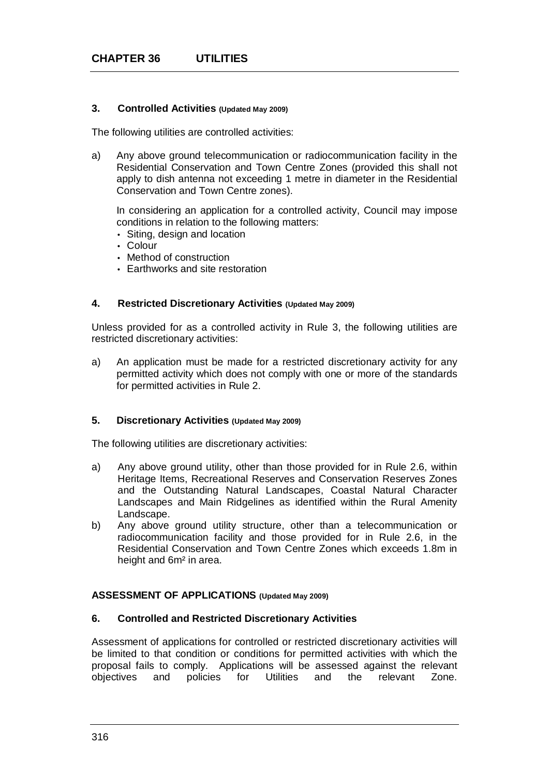## **3. Controlled Activities (Updated May 2009)**

The following utilities are controlled activities:

a) Any above ground telecommunication or radiocommunication facility in the Residential Conservation and Town Centre Zones (provided this shall not apply to dish antenna not exceeding 1 metre in diameter in the Residential Conservation and Town Centre zones).

In considering an application for a controlled activity, Council may impose conditions in relation to the following matters:

- Siting, design and location
- Colour
- Method of construction
- Earthworks and site restoration

## **4. Restricted Discretionary Activities (Updated May 2009)**

Unless provided for as a controlled activity in Rule 3, the following utilities are restricted discretionary activities:

a) An application must be made for a restricted discretionary activity for any permitted activity which does not comply with one or more of the standards for permitted activities in Rule 2.

## **5. Discretionary Activities (Updated May 2009)**

The following utilities are discretionary activities:

- a) Any above ground utility, other than those provided for in Rule 2.6, within Heritage Items, Recreational Reserves and Conservation Reserves Zones and the Outstanding Natural Landscapes, Coastal Natural Character Landscapes and Main Ridgelines as identified within the Rural Amenity Landscape.
- b) Any above ground utility structure, other than a telecommunication or radiocommunication facility and those provided for in Rule 2.6, in the Residential Conservation and Town Centre Zones which exceeds 1.8m in height and 6m² in area.

# **ASSESSMENT OF APPLICATIONS (Updated May 2009)**

#### **6. Controlled and Restricted Discretionary Activities**

Assessment of applications for controlled or restricted discretionary activities will be limited to that condition or conditions for permitted activities with which the proposal fails to comply. Applications will be assessed against the relevant objectives and policies for Utilities and the relevant Zone.